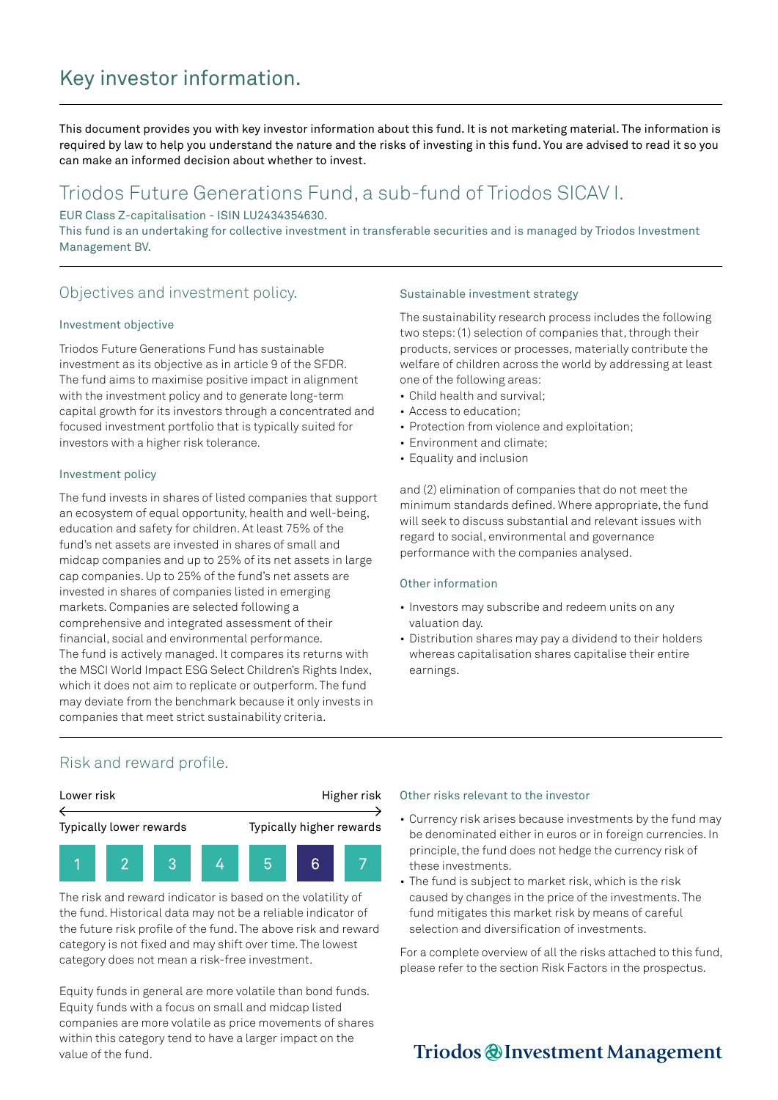# Key investor information.

This document provides you with key investor information about this fund. It is not marketing material. The information is required by law to help you understand the nature and the risks of investing in this fund. You are advised to read it so you can make an informed decision about whether to invest.

## Triodos Future Generations Fund, a sub-fund of Triodos SICAV I.

EUR Class Z-capitalisation - ISIN LU2434354630.

This fund is an undertaking for collective investment in transferable securities and is managed by Triodos Investment Management BV.

### Objectives and investment policy.

### Investment objective

Triodos Future Generations Fund has sustainable investment as its objective as in article 9 of the SFDR. The fund aims to maximise positive impact in alignment with the investment policy and to generate long-term capital growth for its investors through a concentrated and focused investment portfolio that is typically suited for investors with a higher risk tolerance.

### Investment policy

The fund invests in shares of listed companies that support an ecosystem of equal opportunity, health and well-being, education and safety for children. At least 75% of the fund's net assets are invested in shares of small and midcap companies and up to 25% of its net assets in large cap companies. Up to 25% of the fund's net assets are invested in shares of companies listed in emerging markets. Companies are selected following a comprehensive and integrated assessment of their financial, social and environmental performance. The fund is actively managed. It compares its returns with the MSCI World Impact ESG Select Children's Rights Index, which it does not aim to replicate or outperform. The fund may deviate from the benchmark because it only invests in companies that meet strict sustainability criteria.

### Sustainable investment strategy

The sustainability research process includes the following two steps: (1) selection of companies that, through their products, services or processes, materially contribute the welfare of children across the world by addressing at least one of the following areas:

- Child health and survival;
- Access to education;
- Protection from violence and exploitation;
- Environment and climate;
- Equality and inclusion

and (2) elimination of companies that do not meet the minimum standards defined. Where appropriate, the fund will seek to discuss substantial and relevant issues with regard to social, environmental and governance performance with the companies analysed.

### Other information

- Investors may subscribe and redeem units on any valuation day.
- Distribution shares may pay a dividend to their holders whereas capitalisation shares capitalise their entire earnings.

### Risk and reward profile.



The risk and reward indicator is based on the volatility of the fund. Historical data may not be a reliable indicator of the future risk profile of the fund. The above risk and reward category is not fixed and may shift over time. The lowest category does not mean a risk-free investment.

Equity funds in general are more volatile than bond funds. Equity funds with a focus on small and midcap listed companies are more volatile as price movements of shares within this category tend to have a larger impact on the value of the fund.

#### Other risks relevant to the investor

- Currency risk arises because investments by the fund may be denominated either in euros or in foreign currencies. In principle, the fund does not hedge the currency risk of these investments.
- The fund is subject to market risk, which is the risk caused by changes in the price of the investments. The fund mitigates this market risk by means of careful selection and diversification of investments.

For a complete overview of all the risks attached to this fund, please refer to the section Risk Factors in the prospectus.

## Triodos @Investment Management